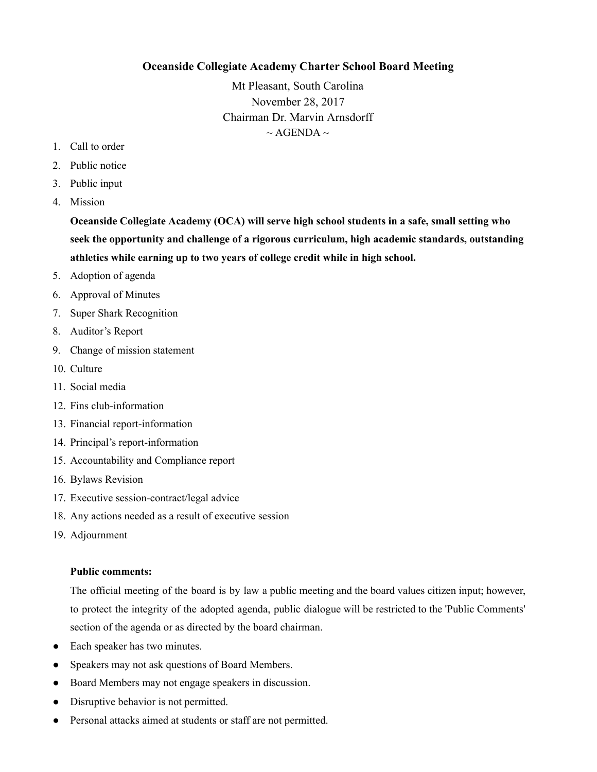## **Oceanside Collegiate Academy Charter School Board Meeting**

Mt Pleasant, South Carolina November 28, 2017 Chairman Dr. Marvin Arnsdorff  $\sim$  AGENDA  $\sim$ 

- 1. Call to order
- 2. Public notice
- 3. Public input
- 4. Mission

**Oceanside Collegiate Academy (OCA) will serve high school students in a safe, small setting who seek the opportunity and challenge of a rigorous curriculum, high academic standards, outstanding athletics while earning up to two years of college credit while in high school.**

- 5. Adoption of agenda
- 6. Approval of Minutes
- 7. Super Shark Recognition
- 8. Auditor's Report
- 9. Change of mission statement
- 10. Culture
- 11. Social media
- 12. Fins club-information
- 13. Financial report-information
- 14. Principal's report-information
- 15. Accountability and Compliance report
- 16. Bylaws Revision
- 17. Executive session-contract/legal advice
- 18. Any actions needed as a result of executive session
- 19. Adjournment

## **Public comments:**

The official meeting of the board is by law a public meeting and the board values citizen input; however, to protect the integrity of the adopted agenda, public dialogue will be restricted to the 'Public Comments' section of the agenda or as directed by the board chairman.

- Each speaker has two minutes.
- Speakers may not ask questions of Board Members.
- Board Members may not engage speakers in discussion.
- Disruptive behavior is not permitted.
- Personal attacks aimed at students or staff are not permitted.